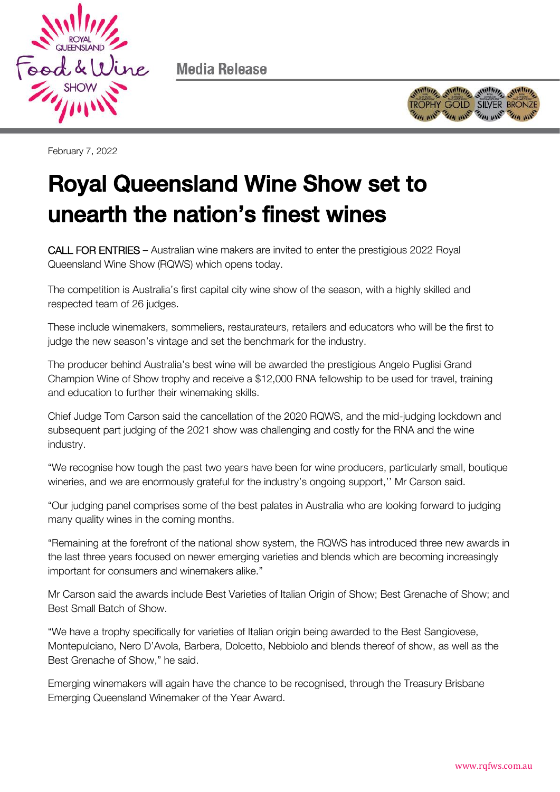

Media Release



February 7, 2022

## Royal Queensland Wine Show set to unearth the nation's finest winest wines

CALL FOR ENTRIES – Australian wine makers are invited to enter the prestigious 2022 Royal Queensland Wine Show (RQWS) which opens today.

The competition is Australia's first capital city wine show of the season, with a highly skilled and respected team of 26 judges.

These include winemakers, sommeliers, restaurateurs, retailers and educators who will be the first to judge the new season's vintage and set the benchmark for the industry.

The producer behind Australia's best wine will be awarded the prestigious Angelo Puglisi Grand Champion Wine of Show trophy and receive a \$12,000 RNA fellowship to be used for travel, training and education to further their winemaking skills.

Chief Judge Tom Carson said the cancellation of the 2020 RQWS, and the mid-judging lockdown and subsequent part judging of the 2021 show was challenging and costly for the RNA and the wine industry.

"We recognise how tough the past two years have been for wine producers, particularly small, boutique wineries, and we are enormously grateful for the industry's ongoing support,'' Mr Carson said.

"Our judging panel comprises some of the best palates in Australia who are looking forward to judging many quality wines in the coming months.

"Remaining at the forefront of the national show system, the RQWS has introduced three new awards in the last three years focused on newer emerging varieties and blends which are becoming increasingly important for consumers and winemakers alike."

Mr Carson said the awards include Best Varieties of Italian Origin of Show; Best Grenache of Show; and Best Small Batch of Show.

"We have a trophy specifically for varieties of Italian origin being awarded to the Best Sangiovese, Montepulciano, Nero D'Avola, Barbera, Dolcetto, Nebbiolo and blends thereof of show, as well as the Best Grenache of Show," he said.

Emerging winemakers will again have the chance to be recognised, through the Treasury Brisbane Emerging Queensland Winemaker of the Year Award.